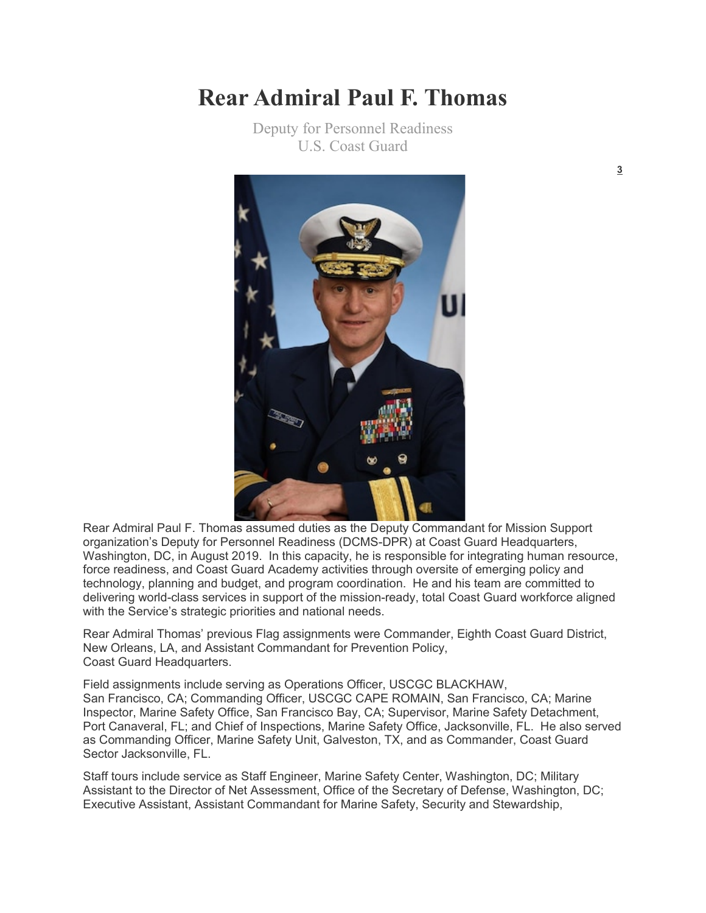## **Rear Admiral Paul F. Thomas**

Deputy for Personnel Readiness U.S. Coast Guard



Rear Admiral Paul F. Thomas assumed duties as the Deputy Commandant for Mission Support organization's Deputy for Personnel Readiness (DCMS-DPR) at Coast Guard Headquarters, Washington, DC, in August 2019. In this capacity, he is responsible for integrating human resource, force readiness, and Coast Guard Academy activities through oversite of emerging policy and technology, planning and budget, and program coordination. He and his team are committed to delivering world-class services in support of the mission-ready, total Coast Guard workforce aligned with the Service's strategic priorities and national needs.

Rear Admiral Thomas' previous Flag assignments were Commander, Eighth Coast Guard District, New Orleans, LA, and Assistant Commandant for Prevention Policy, Coast Guard Headquarters.

Field assignments include serving as Operations Officer, USCGC BLACKHAW, San Francisco, CA; Commanding Officer, USCGC CAPE ROMAIN, San Francisco, CA; Marine Inspector, Marine Safety Office, San Francisco Bay, CA; Supervisor, Marine Safety Detachment, Port Canaveral, FL; and Chief of Inspections, Marine Safety Office, Jacksonville, FL. He also served as Commanding Officer, Marine Safety Unit, Galveston, TX, and as Commander, Coast Guard Sector Jacksonville, FL.

Staff tours include service as Staff Engineer, Marine Safety Center, Washington, DC; Military Assistant to the Director of Net Assessment, Office of the Secretary of Defense, Washington, DC; Executive Assistant, Assistant Commandant for Marine Safety, Security and Stewardship,